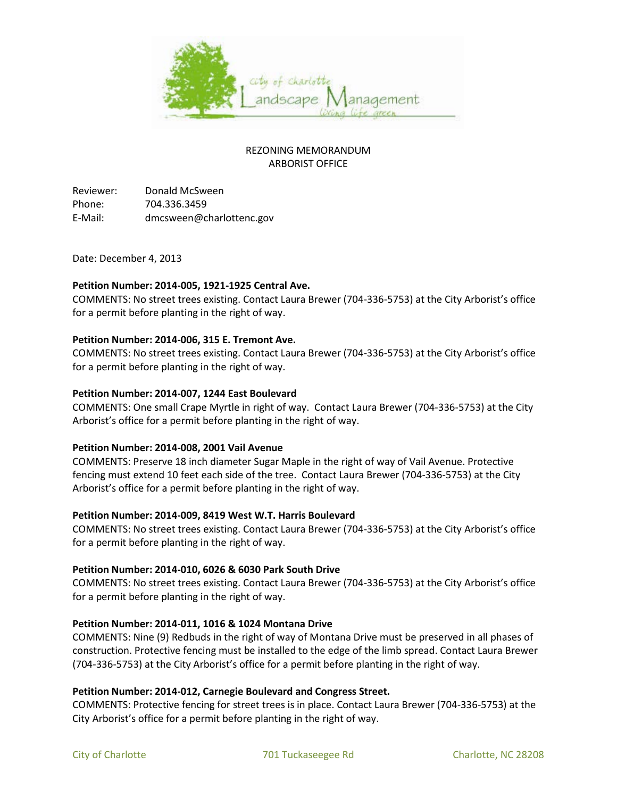

# REZONING MEMORANDUM ARBORIST OFFICE

Reviewer: Donald McSween Phone: 704.336.3459 E-Mail: dmcsween@charlottenc.gov

Date: December 4, 2013

## **Petition Number: 2014-005, 1921-1925 Central Ave.**

COMMENTS: No street trees existing. Contact Laura Brewer (704-336-5753) at the City Arborist's office for a permit before planting in the right of way.

## **Petition Number: 2014-006, 315 E. Tremont Ave.**

COMMENTS: No street trees existing. Contact Laura Brewer (704-336-5753) at the City Arborist's office for a permit before planting in the right of way.

#### **Petition Number: 2014-007, 1244 East Boulevard**

COMMENTS: One small Crape Myrtle in right of way. Contact Laura Brewer (704-336-5753) at the City Arborist's office for a permit before planting in the right of way.

#### **Petition Number: 2014-008, 2001 Vail Avenue**

COMMENTS: Preserve 18 inch diameter Sugar Maple in the right of way of Vail Avenue. Protective fencing must extend 10 feet each side of the tree. Contact Laura Brewer (704-336-5753) at the City Arborist's office for a permit before planting in the right of way.

# **Petition Number: 2014-009, 8419 West W.T. Harris Boulevard**

COMMENTS: No street trees existing. Contact Laura Brewer (704-336-5753) at the City Arborist's office for a permit before planting in the right of way.

#### **Petition Number: 2014-010, 6026 & 6030 Park South Drive**

COMMENTS: No street trees existing. Contact Laura Brewer (704-336-5753) at the City Arborist's office for a permit before planting in the right of way.

# **Petition Number: 2014-011, 1016 & 1024 Montana Drive**

COMMENTS: Nine (9) Redbuds in the right of way of Montana Drive must be preserved in all phases of construction. Protective fencing must be installed to the edge of the limb spread. Contact Laura Brewer (704-336-5753) at the City Arborist's office for a permit before planting in the right of way.

#### **Petition Number: 2014-012, Carnegie Boulevard and Congress Street.**

COMMENTS: Protective fencing for street trees is in place. Contact Laura Brewer (704-336-5753) at the City Arborist's office for a permit before planting in the right of way.